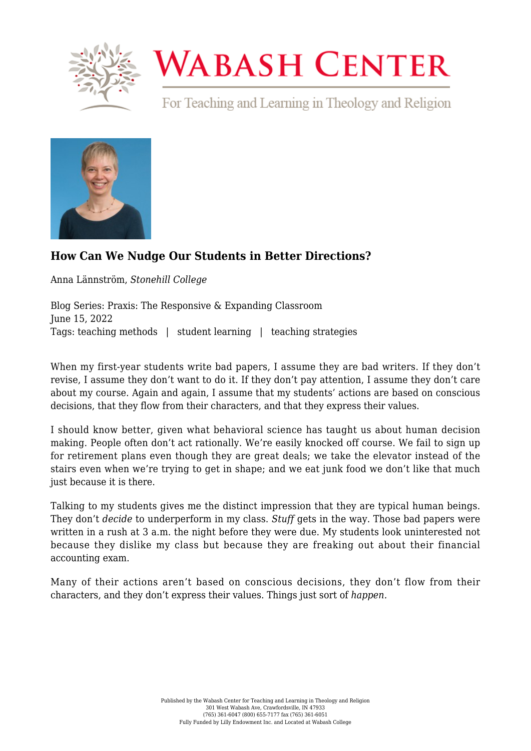

## **WABASH CENTER**

For Teaching and Learning in Theology and Religion



## **[How Can We Nudge Our Students in Better Directions?](https://wabashcenter.wabash.edu/2022/06/how-can-we-nudge-our-students-in-better-directions/)**

Anna Lännström, *Stonehill College*

Blog Series: Praxis: The Responsive & Expanding Classroom June 15, 2022 Tags: teaching methods | student learning | teaching strategies

When my first-year students write bad papers, I assume they are bad writers. If they don't revise, I assume they don't want to do it. If they don't pay attention, I assume they don't care about my course. Again and again, I assume that my students' actions are based on conscious decisions, that they flow from their characters, and that they express their values.

I should know better, given what behavioral science has taught us about human decision making. People often don't act rationally. We're easily knocked off course. We fail to sign up for retirement plans even though they are great deals; we take the elevator instead of the stairs even when we're trying to get in shape; and we eat junk food we don't like that much just because it is there.

Talking to my students gives me the distinct impression that they are typical human beings. They don't *decide* to underperform in my class. *Stuff* gets in the way. Those bad papers were written in a rush at 3 a.m. the night before they were due. My students look uninterested not because they dislike my class but because they are freaking out about their financial accounting exam.

Many of their actions aren't based on conscious decisions, they don't flow from their characters, and they don't express their values. Things just sort of *happen.*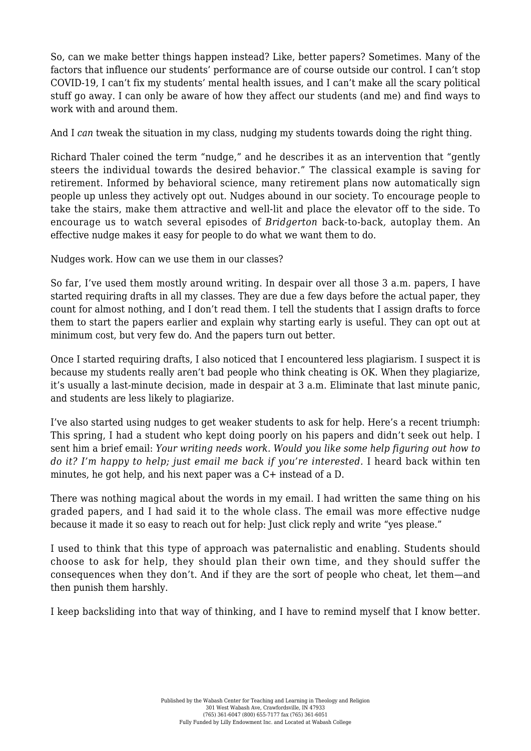So, can we make better things happen instead? Like, better papers? Sometimes. Many of the factors that influence our students' performance are of course outside our control. I can't stop COVID-19, I can't fix my students' mental health issues, and I can't make all the scary political stuff go away. I can only be aware of how they affect our students (and me) and find ways to work with and around them.

And I *can* tweak the situation in my class, nudging my students towards doing the right thing.

Richard Thaler coined the term "nudge," and he describes it as an intervention that "gently steers the individual towards the desired behavior." The classical example is saving for retirement. Informed by behavioral science, many retirement plans now automatically sign people up unless they actively opt out. Nudges abound in our society. To encourage people to take the stairs, make them attractive and well-lit and place the elevator off to the side. To encourage us to watch several episodes of *Bridgerton* back-to-back*,* autoplay them. An effective nudge makes it easy for people to do what we want them to do.

Nudges work. How can we use them in our classes?

So far, I've used them mostly around writing. In despair over all those 3 a.m. papers, I have started requiring drafts in all my classes. They are due a few days before the actual paper, they count for almost nothing, and I don't read them. I tell the students that I assign drafts to force them to start the papers earlier and explain why starting early is useful. They can opt out at minimum cost, but very few do. And the papers turn out better.

Once I started requiring drafts, I also noticed that I encountered less plagiarism. I suspect it is because my students really aren't bad people who think cheating is OK. When they plagiarize, it's usually a last-minute decision, made in despair at 3 a.m. Eliminate that last minute panic, and students are less likely to plagiarize.

I've also started using nudges to get weaker students to ask for help. Here's a recent triumph: This spring, I had a student who kept doing poorly on his papers and didn't seek out help. I sent him a brief email: *Your writing needs work. Would you like some help figuring out how to do it? I'm happy to help; just email me back if you're interested.* I heard back within ten minutes, he got help, and his next paper was a C+ instead of a D.

There was nothing magical about the words in my email. I had written the same thing on his graded papers, and I had said it to the whole class. The email was more effective nudge because it made it so easy to reach out for help: Just click reply and write "yes please."

I used to think that this type of approach was paternalistic and enabling. Students should choose to ask for help, they should plan their own time, and they should suffer the consequences when they don't. And if they are the sort of people who cheat, let them—and then punish them harshly.

I keep backsliding into that way of thinking, and I have to remind myself that I know better.